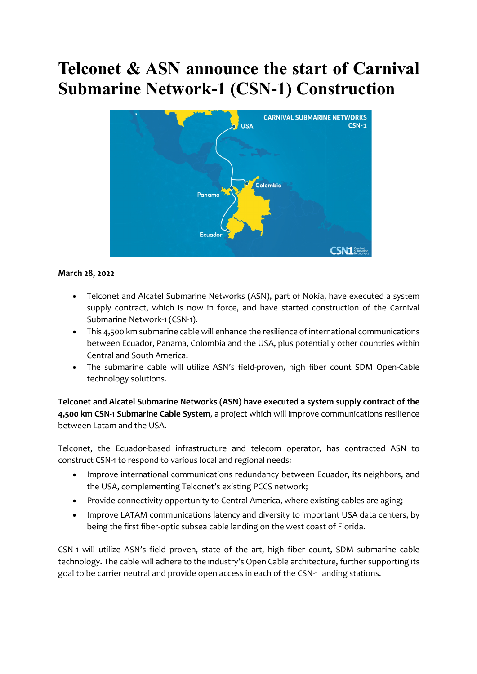# **Telconet & ASN announce the start of Carnival Submarine Network-1 (CSN-1) Construction**



#### **March 28, 2022**

- Telconet and Alcatel Submarine Networks (ASN), part of Nokia, have executed a system supply contract, which is now in force, and have started construction of the Carnival Submarine Network-1 (CSN-1).
- This 4,500 km submarine cable will enhance the resilience of international communications between Ecuador, Panama, Colombia and the USA, plus potentially other countries within Central and South America.
- The submarine cable will utilize ASN's field-proven, high fiber count SDM Open-Cable technology solutions.

**Telconet and Alcatel Submarine Networks (ASN) have executed a system supply contract of the 4,500 km CSN-1 Submarine Cable System**, a project which will improve communications resilience between Latam and the USA.

Telconet, the Ecuador-based infrastructure and telecom operator, has contracted ASN to construct CSN-1 to respond to various local and regional needs:

- Improve international communications redundancy between Ecuador, its neighbors, and the USA, complementing Telconet's existing PCCS network;
- Provide connectivity opportunity to Central America, where existing cables are aging;
- Improve LATAM communications latency and diversity to important USA data centers, by being the first fiber-optic subsea cable landing on the west coast of Florida.

CSN-1 will utilize ASN's field proven, state of the art, high fiber count, SDM submarine cable technology. The cable will adhere to the industry's Open Cable architecture, further supporting its goal to be carrier neutral and provide open access in each of the CSN-1 landing stations.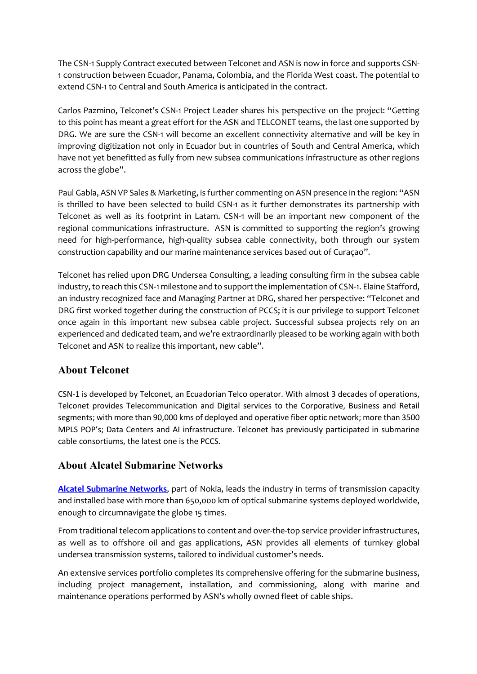The CSN-1 Supply Contract executed between Telconet and ASN is now in force and supports CSN-1 construction between Ecuador, Panama, Colombia, and the Florida West coast. The potential to extend CSN-1 to Central and South America is anticipated in the contract.

Carlos Pazmino, Telconet's CSN-1 Project Leader shares his perspective on the project: "Getting to this point has meant a great effort for the ASN and TELCONET teams, the last one supported by DRG. We are sure the CSN-1 will become an excellent connectivity alternative and will be key in improving digitization not only in Ecuador but in countries of South and Central America, which have not yet benefitted as fully from new subsea communications infrastructure as other regions across the globe".

Paul Gabla, ASN VP Sales & Marketing, is further commenting on ASN presence in the region: "ASN is thrilled to have been selected to build CSN-1 as it further demonstrates its partnership with Telconet as well as its footprint in Latam. CSN-1 will be an important new component of the regional communications infrastructure. ASN is committed to supporting the region's growing need for high-performance, high-quality subsea cable connectivity, both through our system construction capability and our marine maintenance services based out of Curaçao".

Telconet has relied upon DRG Undersea Consulting, a leading consulting firm in the subsea cable industry, to reach this CSN-1 milestone and to support the implementation of CSN-1. Elaine Stafford, an industry recognized face and Managing Partner at DRG, shared her perspective: "Telconet and DRG first worked together during the construction of PCCS; it is our privilege to support Telconet once again in this important new subsea cable project. Successful subsea projects rely on an experienced and dedicated team, and we're extraordinarily pleased to be working again with both Telconet and ASN to realize this important, new cable".

### **About Telconet**

CSN-1 is developed by Telconet, an Ecuadorian Telco operator. With almost 3 decades of operations, Telconet provides Telecommunication and Digital services to the Corporative, Business and Retail segments; with more than 90,000 kms of deployed and operative fiber optic network; more than 3500 MPLS POP's; Data Centers and AI infrastructure. Telconet has previously participated in submarine cable consortiums, the latest one is the PCCS.

### **About Alcatel Submarine Networks**

**Alcatel Submarine Networks**, part of Nokia, leads the industry in terms of transmission capacity and installed base with more than 650,000 km of optical submarine systems deployed worldwide, enough to circumnavigate the globe 15 times.

From traditional telecom applications to content and over-the-top service provider infrastructures, as well as to offshore oil and gas applications, ASN provides all elements of turnkey global undersea transmission systems, tailored to individual customer's needs.

An extensive services portfolio completes its comprehensive offering for the submarine business, including project management, installation, and commissioning, along with marine and maintenance operations performed by ASN's wholly owned fleet of cable ships.